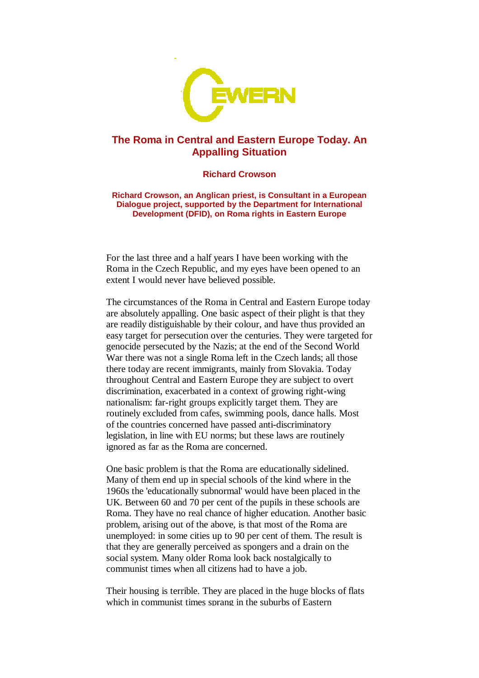

# **The Roma in Central and Eastern Europe Today. An Appalling Situation**

#### **Richard Crowson**

**Richard Crowson, an Anglican priest, is Consultant in a European Dialogue project, supported by the Department for International Development (DFID), on Roma rights in Eastern Europe** 

For the last three and a half years I have been working with the Roma in the Czech Republic, and my eyes have been opened to an extent I would never have believed possible.

The circumstances of the Roma in Central and Eastern Europe today are absolutely appalling. One basic aspect of their plight is that they are readily distiguishable by their colour, and have thus provided an easy target for persecution over the centuries. They were targeted for genocide persecuted by the Nazis; at the end of the Second World War there was not a single Roma left in the Czech lands; all those there today are recent immigrants, mainly from Slovakia. Today throughout Central and Eastern Europe they are subject to overt discrimination, exacerbated in a context of growing right-wing nationalism: far-right groups explicitly target them. They are routinely excluded from cafes, swimming pools, dance halls. Most of the countries concerned have passed anti-discriminatory legislation, in line with EU norms; but these laws are routinely ignored as far as the Roma are concerned.

One basic problem is that the Roma are educationally sidelined. Many of them end up in special schools of the kind where in the 1960s the 'educationally subnormal' would have been placed in the UK. Between 60 and 70 per cent of the pupils in these schools are Roma. They have no real chance of higher education. Another basic problem, arising out of the above, is that most of the Roma are unemployed: in some cities up to 90 per cent of them. The result is that they are generally perceived as spongers and a drain on the social system. Many older Roma look back nostalgically to communist times when all citizens had to have a job.

Their housing is terrible. They are placed in the huge blocks of flats which in communist times sprang in the suburbs of Eastern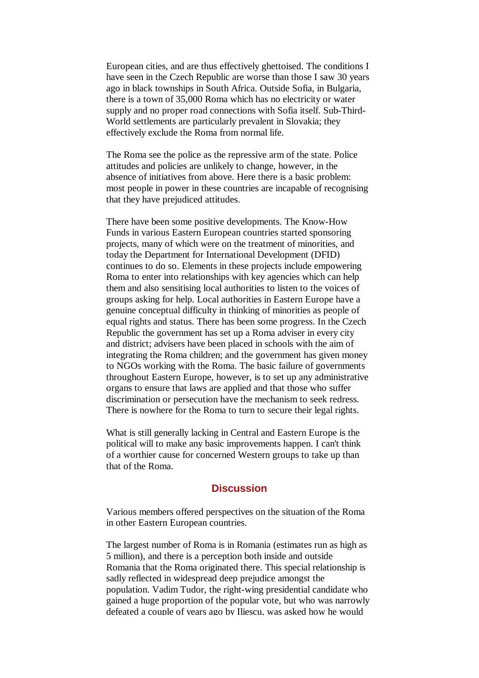European cities, and are thus effectively ghettoised. The conditions I have seen in the Czech Republic are worse than those I saw 30 years ago in black townships in South Africa. Outside Sofia, in Bulgaria, there is a town of 35,000 Roma which has no electricity or water supply and no proper road connections with Sofia itself. Sub-Third-World settlements are particularly prevalent in Slovakia; they effectively exclude the Roma from normal life.

The Roma see the police as the repressive arm of the state. Police attitudes and policies are unlikely to change, however, in the absence of initiatives from above. Here there is a basic problem: most people in power in these countries are incapable of recognising that they have prejudiced attitudes.

There have been some positive developments. The Know-How Funds in various Eastern European countries started sponsoring projects, many of which were on the treatment of minorities, and today the Department for International Development (DFID) continues to do so. Elements in these projects include empowering Roma to enter into relationships with key agencies which can help them and also sensitising local authorities to listen to the voices of groups asking for help. Local authorities in Eastern Europe have a genuine conceptual difficulty in thinking of minorities as people of equal rights and status. There has been some progress. In the Czech Republic the government has set up a Roma adviser in every city and district; advisers have been placed in schools with the aim of integrating the Roma children; and the government has given money to NGOs working with the Roma. The basic failure of governments throughout Eastern Europe, however, is to set up any administrative organs to ensure that laws are applied and that those who suffer discrimination or persecution have the mechanism to seek redress. There is nowhere for the Roma to turn to secure their legal rights.

What is still generally lacking in Central and Eastern Europe is the political will to make any basic improvements happen. I can't think of a worthier cause for concerned Western groups to take up than that of the Roma.

#### **Discussion**

Various members offered perspectives on the situation of the Roma in other Eastern European countries.

The largest number of Roma is in Romania (estimates run as high as 5 million), and there is a perception both inside and outside Romania that the Roma originated there. This special relationship is sadly reflected in widespread deep prejudice amongst the population. Vadim Tudor, the right-wing presidential candidate who gained a huge proportion of the popular vote, but who was narrowly defeated a couple of years ago by Iliescu, was asked how he would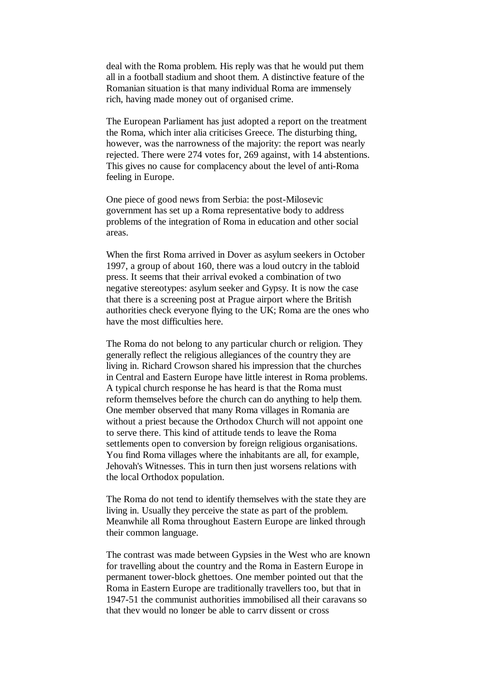deal with the Roma problem. His reply was that he would put them all in a football stadium and shoot them. A distinctive feature of the Romanian situation is that many individual Roma are immensely rich, having made money out of organised crime.

The European Parliament has just adopted a report on the treatment the Roma, which inter alia criticises Greece. The disturbing thing, however, was the narrowness of the majority: the report was nearly rejected. There were 274 votes for, 269 against, with 14 abstentions. This gives no cause for complacency about the level of anti-Roma feeling in Europe.

One piece of good news from Serbia: the post-Milosevic government has set up a Roma representative body to address problems of the integration of Roma in education and other social areas.

When the first Roma arrived in Dover as asylum seekers in October 1997, a group of about 160, there was a loud outcry in the tabloid press. It seems that their arrival evoked a combination of two negative stereotypes: asylum seeker and Gypsy. It is now the case that there is a screening post at Prague airport where the British authorities check everyone flying to the UK; Roma are the ones who have the most difficulties here.

The Roma do not belong to any particular church or religion. They generally reflect the religious allegiances of the country they are living in. Richard Crowson shared his impression that the churches in Central and Eastern Europe have little interest in Roma problems. A typical church response he has heard is that the Roma must reform themselves before the church can do anything to help them. One member observed that many Roma villages in Romania are without a priest because the Orthodox Church will not appoint one to serve there. This kind of attitude tends to leave the Roma settlements open to conversion by foreign religious organisations. You find Roma villages where the inhabitants are all, for example, Jehovah's Witnesses. This in turn then just worsens relations with the local Orthodox population.

The Roma do not tend to identify themselves with the state they are living in. Usually they perceive the state as part of the problem. Meanwhile all Roma throughout Eastern Europe are linked through their common language.

The contrast was made between Gypsies in the West who are known for travelling about the country and the Roma in Eastern Europe in permanent tower-block ghettoes. One member pointed out that the Roma in Eastern Europe are traditionally travellers too, but that in 1947-51 the communist authorities immobilised all their caravans so that they would no longer be able to carry dissent or cross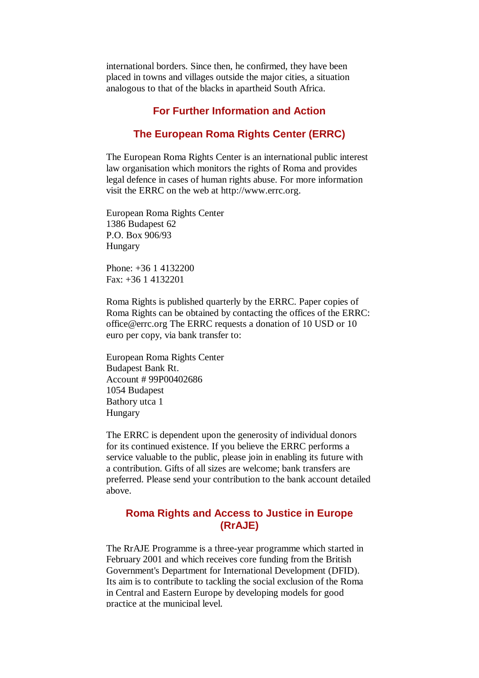international borders. Since then, he confirmed, they have been placed in towns and villages outside the major cities, a situation analogous to that of the blacks in apartheid South Africa.

### **For Further Information and Action**

## **The European Roma Rights Center (ERRC)**

The European Roma Rights Center is an international public interest law organisation which monitors the rights of Roma and provides legal defence in cases of human rights abuse. For more information visit the ERRC on the web at http://www.errc.org.

European Roma Rights Center 1386 Budapest 62 P.O. Box 906/93 Hungary

Phone: +36 1 4132200 Fax: +36 1 4132201

Roma Rights is published quarterly by the ERRC. Paper copies of Roma Rights can be obtained by contacting the offices of the ERRC: office@errc.org The ERRC requests a donation of 10 USD or 10 euro per copy, via bank transfer to:

European Roma Rights Center Budapest Bank Rt. Account # 99P00402686 1054 Budapest Bathory utca 1 Hungary

The ERRC is dependent upon the generosity of individual donors for its continued existence. If you believe the ERRC performs a service valuable to the public, please join in enabling its future with a contribution. Gifts of all sizes are welcome; bank transfers are preferred. Please send your contribution to the bank account detailed above.

## **Roma Rights and Access to Justice in Europe (RrAJE)**

The RrAJE Programme is a three-year programme which started in February 2001 and which receives core funding from the British Government's Department for International Development (DFID). Its aim is to contribute to tackling the social exclusion of the Roma in Central and Eastern Europe by developing models for good practice at the municipal level.